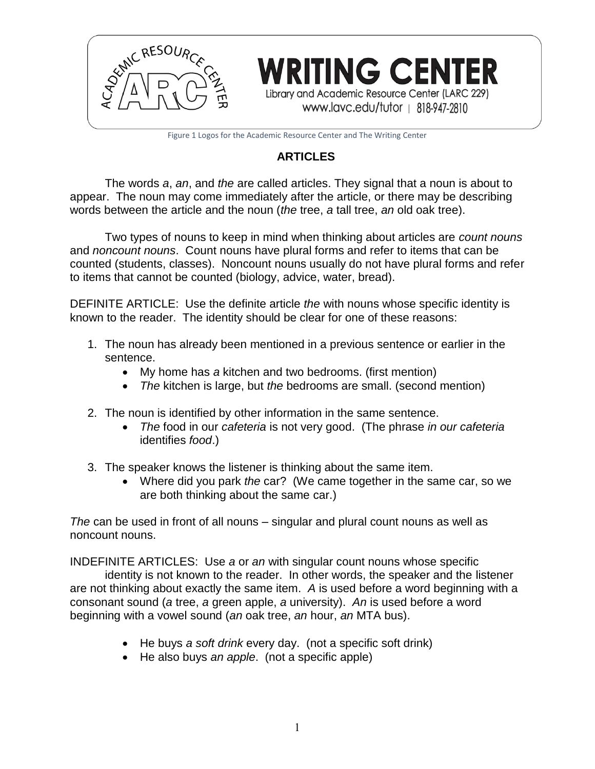

Figure 1 Logos for the Academic Resource Center and The Writing Center

# **ARTICLES**

The words *a*, *an*, and *the* are called articles. They signal that a noun is about to appear. The noun may come immediately after the article, or there may be describing words between the article and the noun (*the* tree, *a* tall tree, *an* old oak tree).

Two types of nouns to keep in mind when thinking about articles are *count nouns* and *noncount nouns*. Count nouns have plural forms and refer to items that can be counted (students, classes). Noncount nouns usually do not have plural forms and refer to items that cannot be counted (biology, advice, water, bread).

DEFINITE ARTICLE: Use the definite article *the* with nouns whose specific identity is known to the reader. The identity should be clear for one of these reasons:

- 1. The noun has already been mentioned in a previous sentence or earlier in the sentence.
	- My home has *a* kitchen and two bedrooms. (first mention)
	- *The* kitchen is large, but *the* bedrooms are small. (second mention)
- 2. The noun is identified by other information in the same sentence.
	- *The* food in our *cafeteria* is not very good. (The phrase *in our cafeteria* identifies *food*.)
- 3. The speaker knows the listener is thinking about the same item.
	- Where did you park *the* car? (We came together in the same car, so we are both thinking about the same car.)

*The* can be used in front of all nouns – singular and plural count nouns as well as noncount nouns.

INDEFINITE ARTICLES: Use *a* or *an* with singular count nouns whose specific

identity is not known to the reader. In other words, the speaker and the listener are not thinking about exactly the same item. *A* is used before a word beginning with a consonant sound (*a* tree, *a* green apple, *a* university). *An* is used before a word beginning with a vowel sound (*an* oak tree, *an* hour, *an* MTA bus).

- He buys *a soft drink* every day. (not a specific soft drink)
- He also buys *an apple*. (not a specific apple)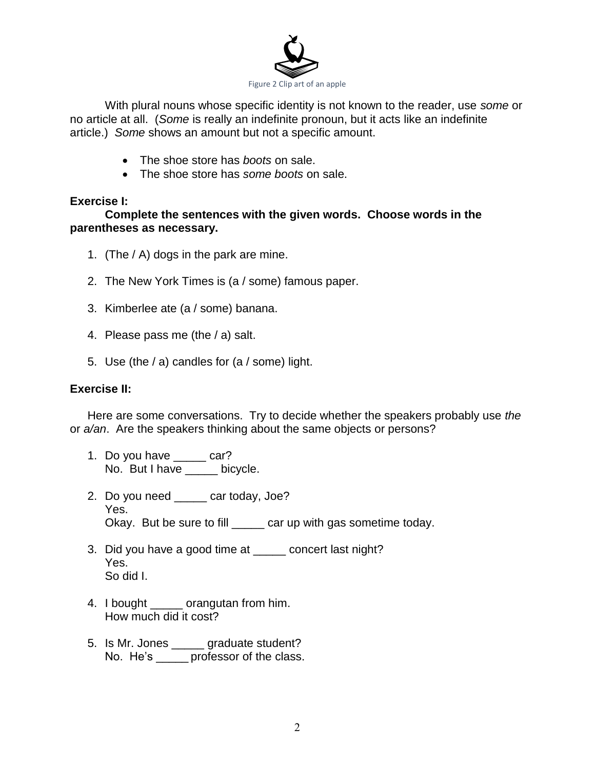

With plural nouns whose specific identity is not known to the reader, use *some* or no article at all. (*Some* is really an indefinite pronoun, but it acts like an indefinite article.) *Some* shows an amount but not a specific amount.

- The shoe store has *boots* on sale.
- The shoe store has *some boots* on sale.

### **Exercise I:**

# **Complete the sentences with the given words. Choose words in the parentheses as necessary.**

- 1. (The / A) dogs in the park are mine.
- 2. The New York Times is (a / some) famous paper.
- 3. Kimberlee ate (a / some) banana.
- 4. Please pass me (the / a) salt.
- 5. Use (the / a) candles for (a / some) light.

# **Exercise II:**

Here are some conversations. Try to decide whether the speakers probably use *the*  or *a/an*. Are the speakers thinking about the same objects or persons?

- 1. Do you have \_\_\_\_\_ car? No. But I have \_\_\_\_\_ bicycle.
- 2. Do you need \_\_\_\_\_ car today, Joe? Yes. Okay. But be sure to fill \_\_\_\_\_ car up with gas sometime today.
- 3. Did you have a good time at \_\_\_\_\_ concert last night? Yes. So did I.
- 4. I bought \_\_\_\_\_ orangutan from him. How much did it cost?
- 5. Is Mr. Jones \_\_\_\_\_ graduate student? No. He's \_\_\_\_\_\_\_ professor of the class.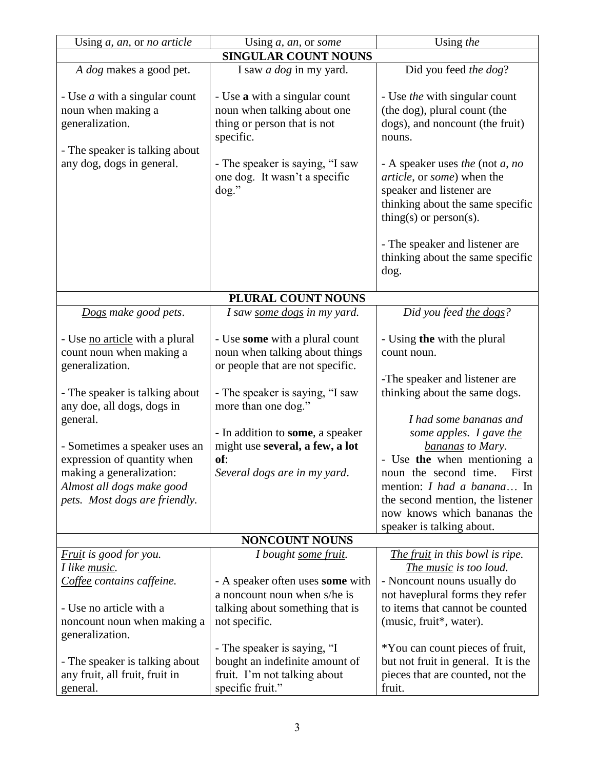| Using a, an, or no article                                                                                      | Using $a$ , an, or some                                                                                           | Using the                                                                                                                                                  |
|-----------------------------------------------------------------------------------------------------------------|-------------------------------------------------------------------------------------------------------------------|------------------------------------------------------------------------------------------------------------------------------------------------------------|
| <b>SINGULAR COUNT NOUNS</b>                                                                                     |                                                                                                                   |                                                                                                                                                            |
| A dog makes a good pet.                                                                                         | I saw <i>a dog</i> in my yard.                                                                                    | Did you feed the dog?                                                                                                                                      |
| - Use <i>a</i> with a singular count<br>noun when making a<br>generalization.<br>- The speaker is talking about | - Use a with a singular count<br>noun when talking about one<br>thing or person that is not<br>specific.          | - Use <i>the</i> with singular count<br>(the dog), plural count (the<br>dogs), and noncount (the fruit)<br>nouns.                                          |
| any dog, dogs in general.                                                                                       | - The speaker is saying, "I saw<br>one dog. It wasn't a specific<br>$\log$ ."                                     | - A speaker uses the (not $a$ , no<br>article, or some) when the<br>speaker and listener are<br>thinking about the same specific<br>thing(s) or person(s). |
|                                                                                                                 |                                                                                                                   | - The speaker and listener are<br>thinking about the same specific<br>dog.                                                                                 |
| PLURAL COUNT NOUNS                                                                                              |                                                                                                                   |                                                                                                                                                            |
| Dogs make good pets.                                                                                            | I saw <u>some dogs</u> in my yard.                                                                                | Did you feed the dogs?                                                                                                                                     |
| - Use no article with a plural<br>count noun when making a<br>generalization.                                   | - Use some with a plural count<br>noun when talking about things<br>or people that are not specific.              | - Using the with the plural<br>count noun.                                                                                                                 |
| - The speaker is talking about<br>any doe, all dogs, dogs in                                                    | - The speaker is saying, "I saw<br>more than one dog."                                                            | -The speaker and listener are<br>thinking about the same dogs.                                                                                             |
| general.<br>- Sometimes a speaker uses an                                                                       | - In addition to <b>some</b> , a speaker<br>might use several, a few, a lot                                       | I had some bananas and<br>some apples. I gave the<br>bananas to Mary.                                                                                      |
| expression of quantity when<br>making a generalization:<br>Almost all dogs make good                            | of:<br>Several dogs are in my yard.                                                                               | - Use the when mentioning a<br>noun the second time.<br>First<br>mention: <i>I had a banana</i> In                                                         |
| pets. Most dogs are friendly.                                                                                   |                                                                                                                   | the second mention, the listener<br>now knows which bananas the<br>speaker is talking about.                                                               |
| <b>NONCOUNT NOUNS</b>                                                                                           |                                                                                                                   |                                                                                                                                                            |
| <i>Fruit is good for you.</i><br>I like music.                                                                  | I bought some fruit.                                                                                              | The fruit in this bowl is ripe.                                                                                                                            |
| Coffee contains caffeine.                                                                                       | - A speaker often uses some with<br>a noncount noun when s/he is                                                  | The music is too loud.<br>- Noncount nouns usually do<br>not haveplural forms they refer                                                                   |
| - Use no article with a<br>noncount noun when making a<br>generalization.                                       | talking about something that is<br>not specific.                                                                  | to items that cannot be counted<br>(music, fruit*, water).                                                                                                 |
| - The speaker is talking about<br>any fruit, all fruit, fruit in<br>general.                                    | - The speaker is saying, "I<br>bought an indefinite amount of<br>fruit. I'm not talking about<br>specific fruit." | *You can count pieces of fruit,<br>but not fruit in general. It is the<br>pieces that are counted, not the<br>fruit.                                       |